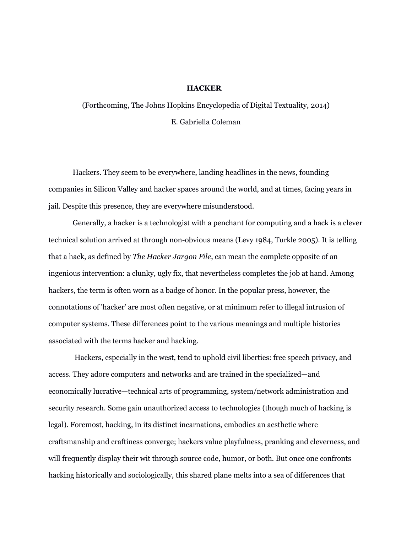# **HACKER**

(Forthcoming, The Johns Hopkins Encyclopedia of Digital Textuality, 2014) E. Gabriella Coleman

Hackers. They seem to be everywhere, landing headlines in the news, founding companies in Silicon Valley and hacker spaces around the world, and at times, facing years in jail. Despite this presence, they are everywhere misunderstood.

Generally, a hacker is a technologist with a penchant for computing and a hack is a clever technical solution arrived at through non-obvious means (Levy 1984, Turkle 2005). It is telling that a hack, as defined by *The Hacker Jargon File*, can mean the complete opposite of an ingenious intervention: a clunky, ugly fix, that nevertheless completes the job at hand. Among hackers, the term is often worn as a badge of honor. In the popular press, however, the connotations of 'hacker' are most often negative, or at minimum refer to illegal intrusion of computer systems. These differences point to the various meanings and multiple histories associated with the terms hacker and hacking.

 Hackers, especially in the west, tend to uphold civil liberties: free speech privacy, and access. They adore computers and networks and are trained in the specialized—and economically lucrative—technical arts of programming, system/network administration and security research. Some gain unauthorized access to technologies (though much of hacking is legal). Foremost, hacking, in its distinct incarnations, embodies an aesthetic where craftsmanship and craftiness converge; hackers value playfulness, pranking and cleverness, and will frequently display their wit through source code, humor, or both. But once one confronts hacking historically and sociologically, this shared plane melts into a sea of differences that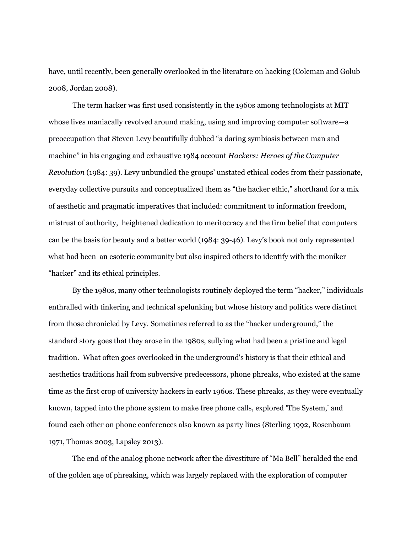have, until recently, been generally overlooked in the literature on hacking (Coleman and Golub 2008, Jordan 2008).

The term hacker was first used consistently in the 1960s among technologists at MIT whose lives maniacally revolved around making, using and improving computer software—a preoccupation that Steven Levy beautifully dubbed "a daring symbiosis between man and machine" in his engaging and exhaustive 1984 account *Hackers: Heroes of the Computer Revolution* (1984: 39). Levy unbundled the groups' unstated ethical codes from their passionate, everyday collective pursuits and conceptualized them as "the hacker ethic," shorthand for a mix of aesthetic and pragmatic imperatives that included: commitment to information freedom, mistrust of authority, heightened dedication to meritocracy and the firm belief that computers can be the basis for beauty and a better world (1984: 39-46). Levy's book not only represented what had been an esoteric community but also inspired others to identify with the moniker "hacker" and its ethical principles.

By the 1980s, many other technologists routinely deployed the term "hacker," individuals enthralled with tinkering and technical spelunking but whose history and politics were distinct from those chronicled by Levy. Sometimes referred to as the "hacker underground," the standard story goes that they arose in the 1980s, sullying what had been a pristine and legal tradition. What often goes overlooked in the underground's history is that their ethical and aesthetics traditions hail from subversive predecessors, phone phreaks, who existed at the same time as the first crop of university hackers in early 1960s. These phreaks, as they were eventually known, tapped into the phone system to make free phone calls, explored 'The System,' and found each other on phone conferences also known as party lines (Sterling 1992, Rosenbaum 1971, Thomas 2003, Lapsley 2013).

The end of the analog phone network after the divestiture of "Ma Bell" heralded the end of the golden age of phreaking, which was largely replaced with the exploration of computer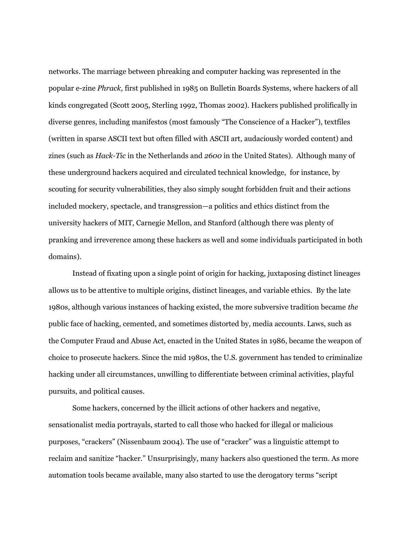networks. The marriage between phreaking and computer hacking was represented in the popular e-zine *Phrack,* first published in 1985 on Bulletin Boards Systems, where hackers of all kinds congregated (Scott 2005, Sterling 1992, Thomas 2002). Hackers published prolifically in diverse genres, including manifestos (most famously "The Conscience of a Hacker"), textfiles (written in sparse ASCII text but often filled with ASCII art, audaciously worded content) and zines (such as *Hack-Tic* in the Netherlands and *2600* in the United States). Although many of these underground hackers acquired and circulated technical knowledge, for instance, by scouting for security vulnerabilities, they also simply sought forbidden fruit and their actions included mockery, spectacle, and transgression—a politics and ethics distinct from the university hackers of MIT, Carnegie Mellon, and Stanford (although there was plenty of pranking and irreverence among these hackers as well and some individuals participated in both domains).

Instead of fixating upon a single point of origin for hacking, juxtaposing distinct lineages allows us to be attentive to multiple origins, distinct lineages, and variable ethics. By the late 1980s, although various instances of hacking existed, the more subversive tradition became *the*  public face of hacking, cemented, and sometimes distorted by, media accounts. Laws, such as the Computer Fraud and Abuse Act, enacted in the United States in 1986, became the weapon of choice to prosecute hackers. Since the mid 1980s, the U.S. government has tended to criminalize hacking under all circumstances, unwilling to differentiate between criminal activities, playful pursuits, and political causes.

Some hackers, concerned by the illicit actions of other hackers and negative, sensationalist media portrayals, started to call those who hacked for illegal or malicious purposes, "crackers" (Nissenbaum 2004). The use of "cracker" was a linguistic attempt to reclaim and sanitize "hacker." Unsurprisingly, many hackers also questioned the term. As more automation tools became available, many also started to use the derogatory terms "script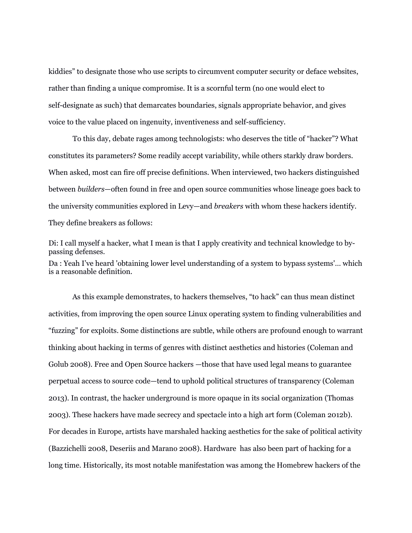kiddies" to designate those who use scripts to circumvent computer security or deface websites, rather than finding a unique compromise. It is a scornful term (no one would elect to self-designate as such) that demarcates boundaries, signals appropriate behavior, and gives voice to the value placed on ingenuity, inventiveness and self-sufficiency.

To this day, debate rages among technologists: who deserves the title of "hacker"? What constitutes its parameters? Some readily accept variability, while others starkly draw borders. When asked, most can fire off precise definitions. When interviewed, two hackers distinguished between *builders*—often found in free and open source communities whose lineage goes back to the university communities explored in Levy—and *breakers* with whom these hackers identify. They define breakers as follows:

Di: I call myself a hacker, what I mean is that I apply creativity and technical knowledge to bypassing defenses. Da : Yeah I've heard 'obtaining lower level understanding of a system to bypass systems'… which is a reasonable definition.

As this example demonstrates, to hackers themselves, "to hack" can thus mean distinct activities, from improving the open source Linux operating system to finding vulnerabilities and "fuzzing" for exploits. Some distinctions are subtle, while others are profound enough to warrant thinking about hacking in terms of genres with distinct aesthetics and histories (Coleman and Golub 2008). Free and Open Source hackers —those that have used legal means to guarantee perpetual access to source code—tend to uphold political structures of transparency (Coleman 2013). In contrast, the hacker underground is more opaque in its social organization (Thomas 2003). These hackers have made secrecy and spectacle into a high art form (Coleman 2012b). For decades in Europe, artists have marshaled hacking aesthetics for the sake of political activity (Bazzichelli 2008, Deseriis and Marano 2008). Hardware has also been part of hacking for a long time. Historically, its most notable manifestation was among the Homebrew hackers of the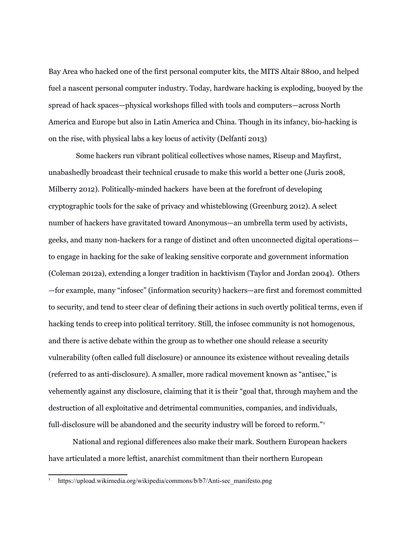Bay Area who hacked one of the first personal computer kits, the MITS Altair 8800, and helped fuel a nascent personal computer industry. Today, hardware hacking is exploding, buoyed by the spread of hack spaces—physical workshops filled with tools and computers—across North America and Europe but also in Latin America and China. Though in its infancy, bio-hacking is on the rise, with physical labs a key locus of activity (Delfanti 2013)

 Some hackers run vibrant political collectives whose names, Riseup and Mayfirst, unabashedly broadcast their technical crusade to make this world a better one (Juris 2008, Milberry 2012). Politically-minded hackers have been at the forefront of developing cryptographic tools for the sake of privacy and whisteblowing (Greenburg 2012). A select number of hackers have gravitated toward Anonymous—an umbrella term used by activists, geeks, and many non-hackers for a range of distinct and often unconnected digital operations to engage in hacking for the sake of leaking sensitive corporate and government information (Coleman 2012a), extending a longer tradition in hacktivism (Taylor and Jordan 2004). Others —for example, many "infosec" (information security) hackers—are first and foremost committed to security, and tend to steer clear of defining their actions in such overtly political terms, even if hacking tends to creep into political territory. Still, the infosec community is not homogenous, and there is active debate within the group as to whether one should release a security vulnerability (often called full disclosure) or announce its existence without revealing details (referred to as anti-disclosure). A smaller, more radical movement known as "antisec," is vehemently against any disclosure, claiming that it is their "goal that, through mayhem and the destruction of all exploitative and detrimental communities, companies, and individuals, full-disclosure will be abandoned and the security industry will be forced to reform."<sup>[1](#page-4-0)</sup>

National and regional differences also make their mark. Southern European hackers have articulated a more leftist, anarchist commitment than their northern European

<span id="page-4-0"></span><sup>1</sup> https://upload.wikimedia.org/wikipedia/commons/b/b7/Anti-sec\_manifesto.png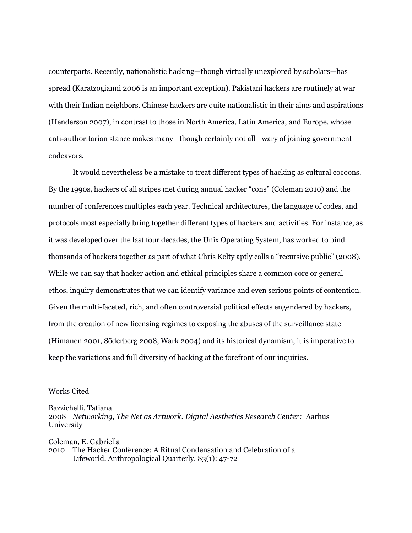counterparts. Recently, nationalistic hacking—though virtually unexplored by scholars—has spread (Karatzogianni 2006 is an important exception). Pakistani hackers are routinely at war with their Indian neighbors. Chinese hackers are quite nationalistic in their aims and aspirations (Henderson 2007), in contrast to those in North America, Latin America, and Europe, whose anti-authoritarian stance makes many—though certainly not all—wary of joining government endeavors.

It would nevertheless be a mistake to treat different types of hacking as cultural cocoons. By the 1990s, hackers of all stripes met during annual hacker "cons" (Coleman 2010) and the number of conferences multiples each year. Technical architectures, the language of codes, and protocols most especially bring together different types of hackers and activities. For instance, as it was developed over the last four decades, the Unix Operating System, has worked to bind thousands of hackers together as part of what Chris Kelty aptly calls a "recursive public" (2008). While we can say that hacker action and ethical principles share a common core or general ethos, inquiry demonstrates that we can identify variance and even serious points of contention. Given the multi-faceted, rich, and often controversial political effects engendered by hackers, from the creation of new licensing regimes to exposing the abuses of the surveillance state (Himanen 2001, Söderberg 2008, Wark 2004) and its historical dynamism, it is imperative to keep the variations and full diversity of hacking at the forefront of our inquiries.

### Works Cited

Bazzichelli, Tatiana

2008 *Networking, The Net as Artwork. Digital Aesthetics Research Center:* Aarhus University

Coleman, E. Gabriella 2010 The Hacker Conference: A Ritual Condensation and Celebration of a Lifeworld. Anthropological Quarterly. 83(1): 47-72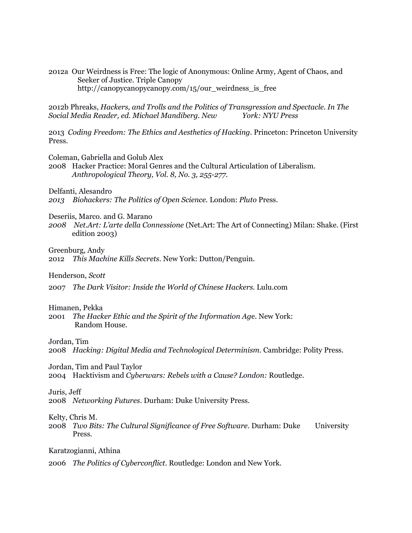2012a Our Weirdness is Free: The logic of Anonymous: Online Army, Agent of Chaos, and Seeker of Justice. Triple Canopy http://canopycanopycanopy.com/15/our\_weirdness\_is\_free

2012b Phreaks, *Hackers, and Trolls and the Politics of Transgression and Spectacle. In The Social Media Reader, ed. Michael Mandiberg. New York: NYU Press*

2013 *Coding Freedom: The Ethics and Aesthetics of Hacking*. Princeton: Princeton University Press.

Coleman, Gabriella and Golub Alex

2008 Hacker Practice: Moral Genres and the Cultural Articulation of Liberalism. *Anthropological Theory, Vol. 8, No. 3, 255-277.*

Delfanti, Alesandro

*2013 Biohackers: The Politics of Open Science.* London: *Pluto* Press.

Deseriis, Marco. and G. Marano

*2008 Net.Art: L'arte della Connessione* (Net.Art: The Art of Connecting) Milan: Shake. (First edition 2003)

Greenburg, Andy

2012 *This Machine Kills Secrets*. New York: Dutton/Penguin.

Henderson, *Scott*

2007 *The Dark Visitor: Inside the World of Chinese Hackers.* Lulu.com

#### Himanen, Pekka

2001 *The Hacker Ethic and the Spirit of the Information Ag*e. New York: Random House.

## Jordan, Tim

2008 *Hacking: Digital Media and Technological Determinism*. Cambridge: Polity Press.

Jordan, Tim and Paul Taylor

2004 Hacktivism and *Cyberwars: Rebels with a Cause? London:* Routledge.

#### Juris, Jeff

2008 *Networking Futures*. Durham: Duke University Press.

## Kelty, Chris M.

2008 *Two Bits: The Cultural Significance of Free Software*. Durham: Duke University Press.

Karatzogianni, Athina

2006 *The Politics of Cyberconflict*. Routledge: London and New York.